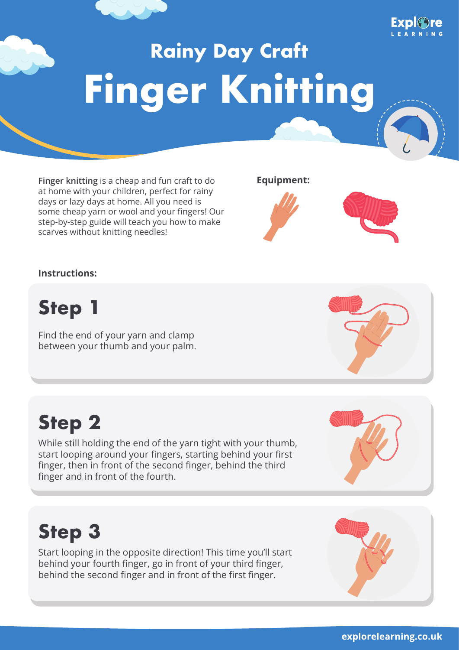# **Rainy Day Craft Finger Knitting**

Finger knitting is a cheap and fun craft to do at home with your children, perfect for rainy days or lazy days at home. All you need is some cheap yarn or wool and your fingers! Our step-by-step guide will teach you how to make scarves without knitting needles!

**Equipment:**



**Step 1**

Find the end of your yarn and clamp between your thumb and your palm.

finger and in front of the fourth.

# **Step 3**

**Step 2**

Start looping in the opposite direction! This time you'll start behind your fourth finger, go in front of your third finger, behind the second finger and in front of the first finger.

While still holding the end of the yarn tight with your thumb, start looping around your fingers, starting behind your first finger, then in front of the second finger, behind the third